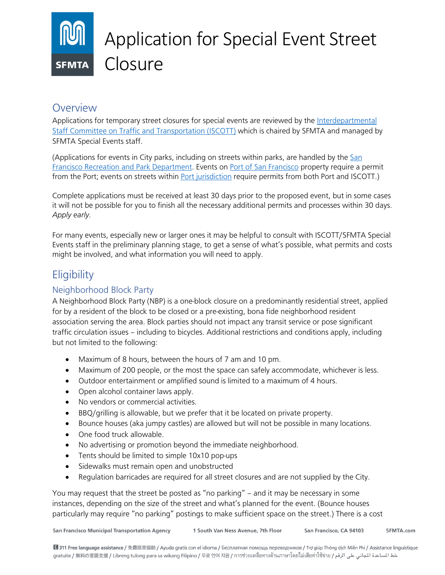# Application for Special Event Street **Closure**

# **Overview**

Applications for temporary street closures for special events are reviewed by the Interdepartmental Staff Committee on Traffic and Transportation (ISCOTT) which is chaired by SFMTA and managed by SFMTA Special Events staff.

(Applications for events in City parks, including on streets within parks, are handled by the San Francisco Recreation and Park Department. Events on Port of San Francisco property require a permit from the Port; events on streets within Port jurisdiction require permits from both Port and ISCOTT.)

Complete applications must be received at least 30 days prior to the proposed event, but in some cases it will not be possible for you to finish all the necessary additional permits and processes within 30 days. *Apply early.*

For many events, especially new or larger ones it may be helpful to consult with ISCOTT/SFMTA Special Events staff in the preliminary planning stage, to get a sense of what's possible, what permits and costs might be involved, and what information you will need to apply.

# **Eligibility**

# Neighborhood Block Party

A Neighborhood Block Party (NBP) is a one-block closure on a predominantly residential street, applied for by a resident of the block to be closed or a pre-existing, bona fide neighborhood resident association serving the area. Block parties should not impact any transit service or pose significant traffic circulation issues – including to bicycles. Additional restrictions and conditions apply, including but not limited to the following:

- Maximum of 8 hours, between the hours of 7 am and 10 pm.
- Maximum of 200 people, or the most the space can safely accommodate, whichever is less.
- Outdoor entertainment or amplified sound is limited to a maximum of 4 hours.
- Open alcohol container laws apply.
- No vendors or commercial activities.
- BBQ/grilling is allowable, but we prefer that it be located on private property.
- Bounce houses (aka jumpy castles) are allowed but will not be possible in many locations.
- One food truck allowable.
- No advertising or promotion beyond the immediate neighborhood.
- Tents should be limited to simple 10x10 pop-ups
- Sidewalks must remain open and unobstructed
- Regulation barricades are required for all street closures and are not supplied by the City.

You may request that the street be posted as "no parking" – and it may be necessary in some instances, depending on the size of the street and what's planned for the event. (Bounce houses particularly may require "no parking" postings to make sufficient space on the street.) There is a cost

1 South Van Ness Avenue, 7th Floor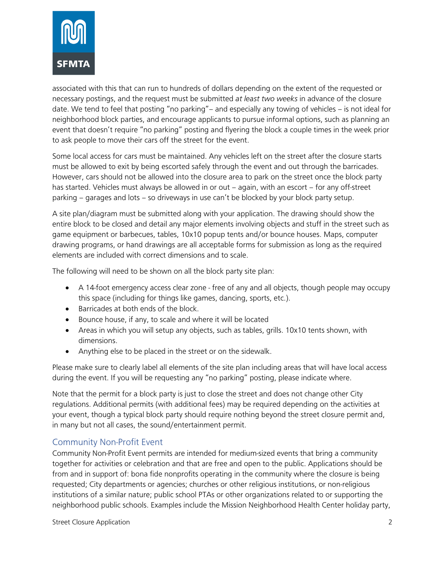

associated with this that can run to hundreds of dollars depending on the extent of the requested or necessary postings, and the request must be submitted *at least two weeks* in advance of the closure date. We tend to feel that posting "no parking"– and especially any towing of vehicles – is not ideal for neighborhood block parties, and encourage applicants to pursue informal options, such as planning an event that doesn't require "no parking" posting and flyering the block a couple times in the week prior to ask people to move their cars off the street for the event.

Some local access for cars must be maintained. Any vehicles left on the street after the closure starts must be allowed to exit by being escorted safely through the event and out through the barricades. However, cars should not be allowed into the closure area to park on the street once the block party has started. Vehicles must always be allowed in or out – again, with an escort – for any off-street parking – garages and lots – so driveways in use can't be blocked by your block party setup.

A site plan/diagram must be submitted along with your application. The drawing should show the entire block to be closed and detail any major elements involving objects and stuff in the street such as game equipment or barbecues, tables, 10x10 popup tents and/or bounce houses. Maps, computer drawing programs, or hand drawings are all acceptable forms for submission as long as the required elements are included with correct dimensions and to scale.

The following will need to be shown on all the block party site plan:

- A 14-foot emergency access clear zone free of any and all objects, though people may occupy this space (including for things like games, dancing, sports, etc.).
- Barricades at both ends of the block.
- Bounce house, if any, to scale and where it will be located
- Areas in which you will setup any objects, such as tables, grills. 10x10 tents shown, with dimensions.
- Anything else to be placed in the street or on the sidewalk.

Please make sure to clearly label all elements of the site plan including areas that will have local access during the event. If you will be requesting any "no parking" posting, please indicate where.

Note that the permit for a block party is just to close the street and does not change other City regulations. Additional permits (with additional fees) may be required depending on the activities at your event, though a typical block party should require nothing beyond the street closure permit and, in many but not all cases, the sound/entertainment permit.

## Community Non-Profit Event

Community Non-Profit Event permits are intended for medium-sized events that bring a community together for activities or celebration and that are free and open to the public. Applications should be from and in support of: bona fide nonprofits operating in the community where the closure is being requested; City departments or agencies; churches or other religious institutions, or non-religious institutions of a similar nature; public school PTAs or other organizations related to or supporting the neighborhood public schools. Examples include the Mission Neighborhood Health Center holiday party,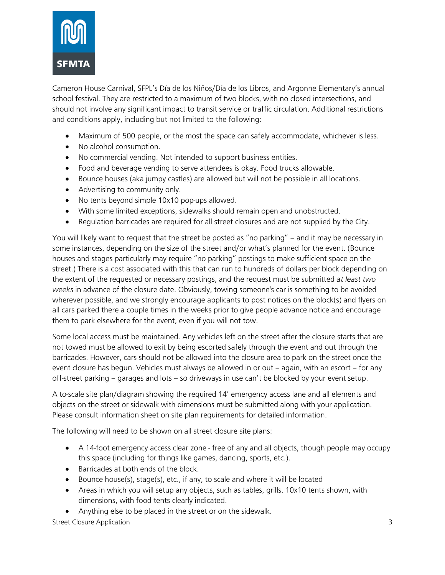

Cameron House Carnival, SFPL's Día de los Niños/Día de los Libros, and Argonne Elementary's annual school festival. They are restricted to a maximum of two blocks, with no closed intersections, and should not involve any significant impact to transit service or traffic circulation. Additional restrictions and conditions apply, including but not limited to the following:

- Maximum of 500 people, or the most the space can safely accommodate, whichever is less.
- No alcohol consumption.
- No commercial vending. Not intended to support business entities.
- Food and beverage vending to serve attendees is okay. Food trucks allowable.
- Bounce houses (aka jumpy castles) are allowed but will not be possible in all locations.
- Advertising to community only.
- No tents beyond simple 10x10 pop-ups allowed.
- With some limited exceptions, sidewalks should remain open and unobstructed.
- Regulation barricades are required for all street closures and are not supplied by the City.

You will likely want to request that the street be posted as "no parking" – and it may be necessary in some instances, depending on the size of the street and/or what's planned for the event. (Bounce houses and stages particularly may require "no parking" postings to make sufficient space on the street.) There is a cost associated with this that can run to hundreds of dollars per block depending on the extent of the requested or necessary postings, and the request must be submitted *at least two weeks* in advance of the closure date. Obviously, towing someone's car is something to be avoided wherever possible, and we strongly encourage applicants to post notices on the block(s) and flyers on all cars parked there a couple times in the weeks prior to give people advance notice and encourage them to park elsewhere for the event, even if you will not tow.

Some local access must be maintained. Any vehicles left on the street after the closure starts that are not towed must be allowed to exit by being escorted safely through the event and out through the barricades. However, cars should not be allowed into the closure area to park on the street once the event closure has begun. Vehicles must always be allowed in or out – again, with an escort – for any off-street parking – garages and lots – so driveways in use can't be blocked by your event setup.

A to-scale site plan/diagram showing the required 14' emergency access lane and all elements and objects on the street or sidewalk with dimensions must be submitted along with your application. Please consult information sheet on site plan requirements for detailed information.

The following will need to be shown on all street closure site plans:

- A 14-foot emergency access clear zone free of any and all objects, though people may occupy this space (including for things like games, dancing, sports, etc.).
- Barricades at both ends of the block.
- Bounce house(s), stage(s), etc., if any, to scale and where it will be located
- Areas in which you will setup any objects, such as tables, grills. 10x10 tents shown, with dimensions, with food tents clearly indicated.
- Anything else to be placed in the street or on the sidewalk.

Street Closure Application 3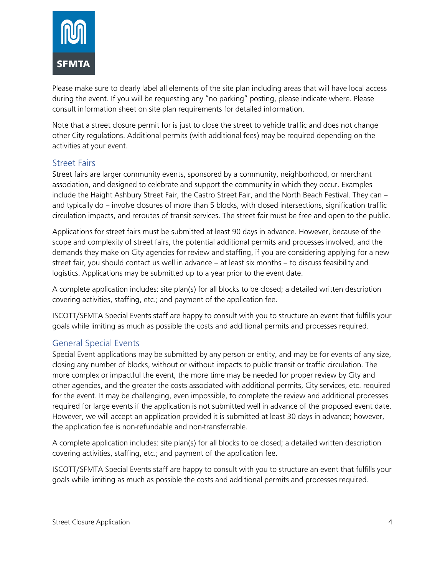

Please make sure to clearly label all elements of the site plan including areas that will have local access during the event. If you will be requesting any "no parking" posting, please indicate where. Please consult information sheet on site plan requirements for detailed information.

Note that a street closure permit for is just to close the street to vehicle traffic and does not change other City regulations. Additional permits (with additional fees) may be required depending on the activities at your event.

#### Street Fairs

Street fairs are larger community events, sponsored by a community, neighborhood, or merchant association, and designed to celebrate and support the community in which they occur. Examples include the Haight Ashbury Street Fair, the Castro Street Fair, and the North Beach Festival. They can – and typically do – involve closures of more than 5 blocks, with closed intersections, signification traffic circulation impacts, and reroutes of transit services. The street fair must be free and open to the public.

Applications for street fairs must be submitted at least 90 days in advance. However, because of the scope and complexity of street fairs, the potential additional permits and processes involved, and the demands they make on City agencies for review and staffing, if you are considering applying for a new street fair, you should contact us well in advance – at least six months – to discuss feasibility and logistics. Applications may be submitted up to a year prior to the event date.

A complete application includes: site plan(s) for all blocks to be closed; a detailed written description covering activities, staffing, etc.; and payment of the application fee.

ISCOTT/SFMTA Special Events staff are happy to consult with you to structure an event that fulfills your goals while limiting as much as possible the costs and additional permits and processes required.

#### General Special Events

Special Event applications may be submitted by any person or entity, and may be for events of any size, closing any number of blocks, without or without impacts to public transit or traffic circulation. The more complex or impactful the event, the more time may be needed for proper review by City and other agencies, and the greater the costs associated with additional permits, City services, etc. required for the event. It may be challenging, even impossible, to complete the review and additional processes required for large events if the application is not submitted well in advance of the proposed event date. However, we will accept an application provided it is submitted at least 30 days in advance; however, the application fee is non-refundable and non-transferrable.

A complete application includes: site plan(s) for all blocks to be closed; a detailed written description covering activities, staffing, etc.; and payment of the application fee.

ISCOTT/SFMTA Special Events staff are happy to consult with you to structure an event that fulfills your goals while limiting as much as possible the costs and additional permits and processes required.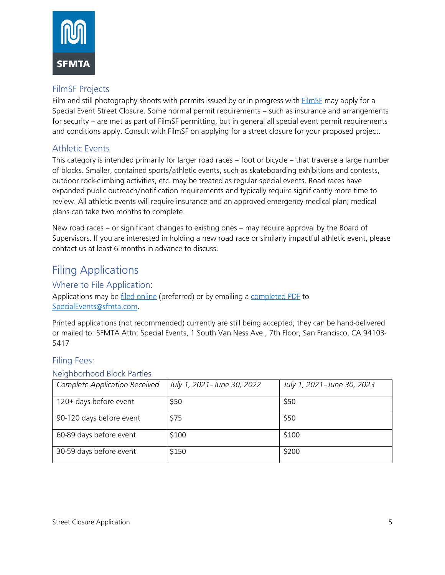

# FilmSF Projects

Film and still photography shoots with permits issued by or in progress with FilmSF may apply for a Special Event Street Closure. Some normal permit requirements – such as insurance and arrangements for security – are met as part of FilmSF permitting, but in general all special event permit requirements and conditions apply. Consult with FilmSF on applying for a street closure for your proposed project.

# Athletic Events

This category is intended primarily for larger road races – foot or bicycle – that traverse a large number of blocks. Smaller, contained sports/athletic events, such as skateboarding exhibitions and contests, outdoor rock-climbing activities, etc. may be treated as regular special events. Road races have expanded public outreach/notification requirements and typically require significantly more time to review. All athletic events will require insurance and an approved emergency medical plan; medical plans can take two months to complete.

New road races – or significant changes to existing ones – may require approval by the Board of Supervisors. If you are interested in holding a new road race or similarly impactful athletic event, please contact us at least 6 months in advance to discuss.

# Filing Applications

#### Where to File Application:

Applications may be filed online (preferred) or by emailing a completed PDF to SpecialEvents@sfmta.com.

Printed applications (not recommended) currently are still being accepted; they can be hand-delivered or mailed to: SFMTA Attn: Special Events, 1 South Van Ness Ave., 7th Floor, San Francisco, CA 94103- 5417

#### Filing Fees:

#### Neighborhood Block Parties

| Complete Application Received | July 1, 2021-June 30, 2022 | July 1, 2021-June 30, 2023 |
|-------------------------------|----------------------------|----------------------------|
| 120+ days before event        | \$50                       | \$50                       |
| 90-120 days before event      | \$75                       | \$50                       |
| 60-89 days before event       | \$100                      | \$100                      |
| 30-59 days before event       | \$150                      | \$200                      |
|                               |                            |                            |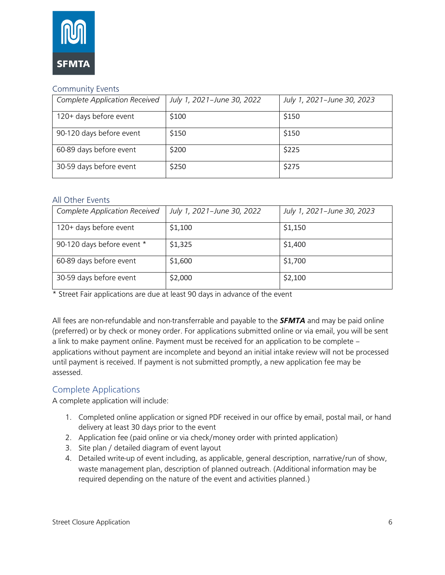

#### Community Events

| <b>Complete Application Received</b> | July 1, 2021-June 30, 2022 | July 1, 2021-June 30, 2023 |
|--------------------------------------|----------------------------|----------------------------|
| 120+ days before event               | \$100                      | \$150                      |
| 90-120 days before event             | \$150                      | \$150                      |
| 60-89 days before event              | \$200                      | \$225                      |
| 30-59 days before event              | \$250                      | \$275                      |

#### All Other Events

| <b>Complete Application Received</b> | July 1, 2021-June 30, 2022 | July 1, 2021-June 30, 2023 |
|--------------------------------------|----------------------------|----------------------------|
| 120+ days before event               | \$1,100                    | \$1,150                    |
| 90-120 days before event *           | \$1,325                    | \$1,400                    |
| 60-89 days before event              | \$1,600                    | \$1,700                    |
| 30-59 days before event              | \$2,000                    | \$2,100                    |

\* Street Fair applications are due at least 90 days in advance of the event

All fees are non-refundable and non-transferrable and payable to the *SFMTA* and may be paid online (preferred) or by check or money order. For applications submitted online or via email, you will be sent a link to make payment online. Payment must be received for an application to be complete – applications without payment are incomplete and beyond an initial intake review will not be processed until payment is received. If payment is not submitted promptly, a new application fee may be assessed.

## Complete Applications

A complete application will include:

- 1. Completed online application or signed PDF received in our office by email, postal mail, or hand delivery at least 30 days prior to the event
- 2. Application fee (paid online or via check/money order with printed application)
- 3. Site plan / detailed diagram of event layout
- 4. Detailed write-up of event including, as applicable, general description, narrative/run of show, waste management plan, description of planned outreach. (Additional information may be required depending on the nature of the event and activities planned.)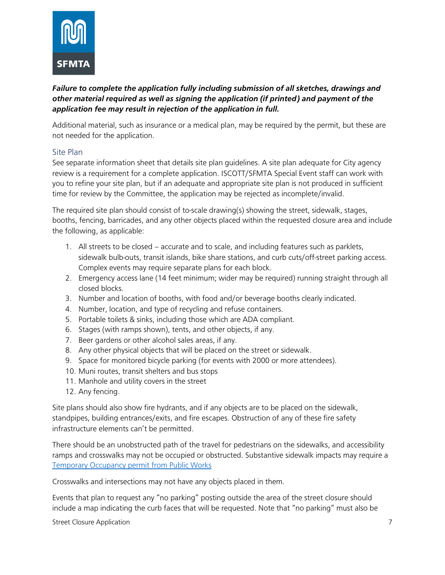

### *Failure to complete the application fully including submission of all sketches, drawings and other material required as well as signing the application (if printed) and payment of the application fee may result in rejection of the application in full.*

Additional material, such as insurance or a medical plan, may be required by the permit, but these are not needed for the application.

#### Site Plan

See separate information sheet that details site plan guidelines. A site plan adequate for City agency review is a requirement for a complete application. ISCOTT/SFMTA Special Event staff can work with you to refine your site plan, but if an adequate and appropriate site plan is not produced in sufficient time for review by the Committee, the application may be rejected as incomplete/invalid.

The required site plan should consist of to-scale drawing(s) showing the street, sidewalk, stages, booths, fencing, barricades, and any other objects placed within the requested closure area and include the following, as applicable:

- 1. All streets to be closed accurate and to scale, and including features such as parklets, sidewalk bulb-outs, transit islands, bike share stations, and curb cuts/off-street parking access. Complex events may require separate plans for each block.
- 2. Emergency access lane (14 feet minimum; wider may be required) running straight through all closed blocks.
- 3. Number and location of booths, with food and/or beverage booths clearly indicated.
- 4. Number, location, and type of recycling and refuse containers.
- 5. Portable toilets & sinks, including those which are ADA compliant.
- 6. Stages (with ramps shown), tents, and other objects, if any.
- 7. Beer gardens or other alcohol sales areas, if any.
- 8. Any other physical objects that will be placed on the street or sidewalk.
- 9. Space for monitored bicycle parking (for events with 2000 or more attendees).
- 10. Muni routes, transit shelters and bus stops
- 11. Manhole and utility covers in the street
- 12. Any fencing.

Site plans should also show fire hydrants, and if any objects are to be placed on the sidewalk, standpipes, building entrances/exits, and fire escapes. Obstruction of any of these fire safety infrastructure elements can't be permitted.

There should be an unobstructed path of the travel for pedestrians on the sidewalks, and accessibility ramps and crosswalks may not be occupied or obstructed. Substantive sidewalk impacts may require a Temporary Occupancy permit from Public Works

Crosswalks and intersections may not have any objects placed in them.

Events that plan to request any "no parking" posting outside the area of the street closure should include a map indicating the curb faces that will be requested. Note that "no parking" must also be

Street Closure Application 7 and 7 and 7 and 7 and 7 and 7 and 7 and 7 and 7 and 7 and 7 and 7 and 7 and 7 and 7 and 7 and 7 and 7 and 7 and 7 and 7 and 7 and 7 and 7 and 7 and 7 and 7 and 7 and 7 and 7 and 7 and 7 and 7 a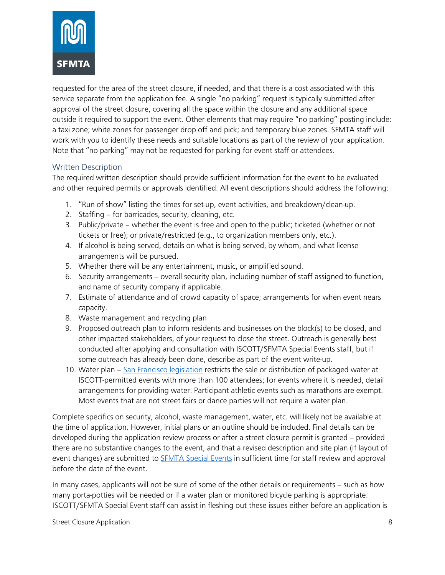

requested for the area of the street closure, if needed, and that there is a cost associated with this service separate from the application fee. A single "no parking" request is typically submitted after approval of the street closure, covering all the space within the closure and any additional space outside it required to support the event. Other elements that may require "no parking" posting include: a taxi zone; white zones for passenger drop off and pick; and temporary blue zones. SFMTA staff will work with you to identify these needs and suitable locations as part of the review of your application. Note that "no parking" may not be requested for parking for event staff or attendees.

#### Written Description

The required written description should provide sufficient information for the event to be evaluated and other required permits or approvals identified. All event descriptions should address the following:

- 1. "Run of show" listing the times for set-up, event activities, and breakdown/clean-up.
- 2. Staffing for barricades, security, cleaning, etc.
- 3. Public/private whether the event is free and open to the public; ticketed (whether or not tickets or free); or private/restricted (e.g., to organization members only, etc.).
- 4. If alcohol is being served, details on what is being served, by whom, and what license arrangements will be pursued.
- 5. Whether there will be any entertainment, music, or amplified sound.
- 6. Security arrangements overall security plan, including number of staff assigned to function, and name of security company if applicable.
- 7. Estimate of attendance and of crowd capacity of space; arrangements for when event nears capacity.
- 8. Waste management and recycling plan
- 9. Proposed outreach plan to inform residents and businesses on the block(s) to be closed, and other impacted stakeholders, of your request to close the street. Outreach is generally best conducted after applying and consultation with ISCOTT/SFMTA Special Events staff, but if some outreach has already been done, describe as part of the event write-up.
- 10. Water plan San Francisco legislation restricts the sale or distribution of packaged water at ISCOTT-permitted events with more than 100 attendees; for events where it is needed, detail arrangements for providing water. Participant athletic events such as marathons are exempt. Most events that are not street fairs or dance parties will not require a water plan.

Complete specifics on security, alcohol, waste management, water, etc. will likely not be available at the time of application. However, initial plans or an outline should be included. Final details can be developed during the application review process or after a street closure permit is granted – provided there are no substantive changes to the event, and that a revised description and site plan (if layout of event changes) are submitted to **SFMTA Special Events** in sufficient time for staff review and approval before the date of the event.

In many cases, applicants will not be sure of some of the other details or requirements – such as how many porta-potties will be needed or if a water plan or monitored bicycle parking is appropriate. ISCOTT/SFMTA Special Event staff can assist in fleshing out these issues either before an application is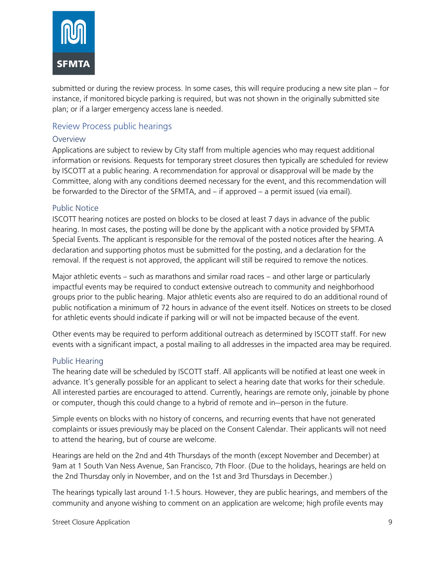

submitted or during the review process. In some cases, this will require producing a new site plan – for instance, if monitored bicycle parking is required, but was not shown in the originally submitted site plan; or if a larger emergency access lane is needed.

#### Review Process public hearings

#### Overview

Applications are subject to review by City staff from multiple agencies who may request additional information or revisions. Requests for temporary street closures then typically are scheduled for review by ISCOTT at a public hearing. A recommendation for approval or disapproval will be made by the Committee, along with any conditions deemed necessary for the event, and this recommendation will be forwarded to the Director of the SFMTA, and – if approved – a permit issued (via email).

#### Public Notice

ISCOTT hearing notices are posted on blocks to be closed at least 7 days in advance of the public hearing. In most cases, the posting will be done by the applicant with a notice provided by SFMTA Special Events. The applicant is responsible for the removal of the posted notices after the hearing. A declaration and supporting photos must be submitted for the posting, and a declaration for the removal. If the request is not approved, the applicant will still be required to remove the notices.

Major athletic events – such as marathons and similar road races – and other large or particularly impactful events may be required to conduct extensive outreach to community and neighborhood groups prior to the public hearing. Major athletic events also are required to do an additional round of public notification a minimum of 72 hours in advance of the event itself. Notices on streets to be closed for athletic events should indicate if parking will or will not be impacted because of the event.

Other events may be required to perform additional outreach as determined by ISCOTT staff. For new events with a significant impact, a postal mailing to all addresses in the impacted area may be required.

#### Public Hearing

The hearing date will be scheduled by ISCOTT staff. All applicants will be notified at least one week in advance. It's generally possible for an applicant to select a hearing date that works for their schedule. All interested parties are encouraged to attend. Currently, hearings are remote only, joinable by phone or computer, though this could change to a hybrid of remote and in—person in the future.

Simple events on blocks with no history of concerns, and recurring events that have not generated complaints or issues previously may be placed on the Consent Calendar. Their applicants will not need to attend the hearing, but of course are welcome.

Hearings are held on the 2nd and 4th Thursdays of the month (except November and December) at 9am at 1 South Van Ness Avenue, San Francisco, 7th Floor. (Due to the holidays, hearings are held on the 2nd Thursday only in November, and on the 1st and 3rd Thursdays in December.)

The hearings typically last around 1-1.5 hours. However, they are public hearings, and members of the community and anyone wishing to comment on an application are welcome; high profile events may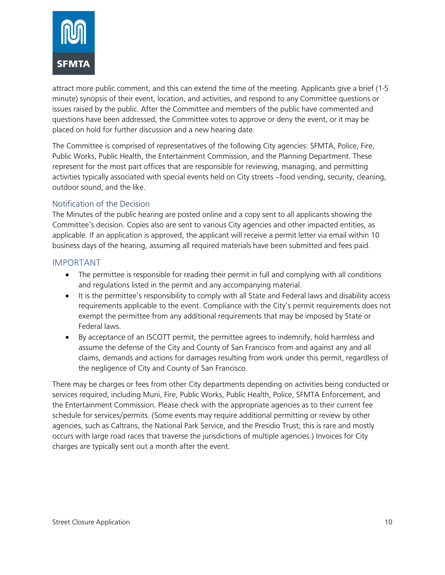

attract more public comment, and this can extend the time of the meeting. Applicants give a brief (1-5 minute) synopsis of their event, location, and activities, and respond to any Committee questions or issues raised by the public. After the Committee and members of the public have commented and questions have been addressed, the Committee votes to approve or deny the event, or it may be placed on hold for further discussion and a new hearing date.

The Committee is comprised of representatives of the following City agencies: SFMTA, Police, Fire, Public Works, Public Health, the Entertainment Commission, and the Planning Department. These represent for the most part offices that are responsible for reviewing, managing, and permitting activities typically associated with special events held on City streets –food vending, security, cleaning, outdoor sound, and the like.

#### Notification of the Decision

The Minutes of the public hearing are posted online and a copy sent to all applicants showing the Committee's decision. Copies also are sent to various City agencies and other impacted entities, as applicable. If an application is approved, the applicant will receive a permit letter via email within 10 business days of the hearing, assuming all required materials have been submitted and fees paid.

#### IMPORTANT

- The permittee is responsible for reading their permit in full and complying with all conditions and regulations listed in the permit and any accompanying material.
- It is the permittee's responsibility to comply with all State and Federal laws and disability access requirements applicable to the event. Compliance with the City's permit requirements does not exempt the permittee from any additional requirements that may be imposed by State or Federal laws.
- By acceptance of an ISCOTT permit, the permittee agrees to indemnify, hold harmless and assume the defense of the City and County of San Francisco from and against any and all claims, demands and actions for damages resulting from work under this permit, regardless of the negligence of City and County of San Francisco.

There may be charges or fees from other City departments depending on activities being conducted or services required, including Muni, Fire, Public Works, Public Health, Police, SFMTA Enforcement, and the Entertainment Commission. Please check with the appropriate agencies as to their current fee schedule for services/permits. (Some events may require additional permitting or review by other agencies, such as Caltrans, the National Park Service, and the Presidio Trust; this is rare and mostly occurs with large road races that traverse the jurisdictions of multiple agencies.) Invoices for City charges are typically sent out a month after the event.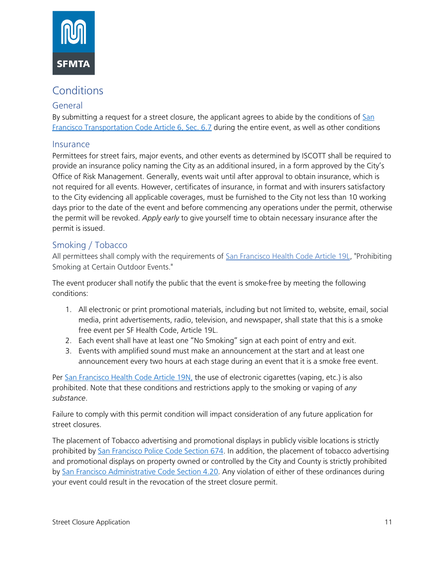

# **Conditions**

#### General

By submitting a request for a street closure, the applicant agrees to abide by the conditions of San Francisco Transportation Code Article 6, Sec. 6.7 during the entire event, as well as other conditions

#### Insurance

Permittees for street fairs, major events, and other events as determined by ISCOTT shall be required to provide an insurance policy naming the City as an additional insured, in a form approved by the City's Office of Risk Management. Generally, events wait until after approval to obtain insurance, which is not required for all events. However, certificates of insurance, in format and with insurers satisfactory to the City evidencing all applicable coverages, must be furnished to the City not less than 10 working days prior to the date of the event and before commencing any operations under the permit, otherwise the permit will be revoked. *Apply early* to give yourself time to obtain necessary insurance after the permit is issued.

## Smoking / Tobacco

All permittees shall comply with the requirements of San Francisco Health Code Article 19L, "Prohibiting Smoking at Certain Outdoor Events."

The event producer shall notify the public that the event is smoke-free by meeting the following conditions:

- 1. All electronic or print promotional materials, including but not limited to, website, email, social media, print advertisements, radio, television, and newspaper, shall state that this is a smoke free event per SF Health Code, Article 19L.
- 2. Each event shall have at least one "No Smoking" sign at each point of entry and exit.
- 3. Events with amplified sound must make an announcement at the start and at least one announcement every two hours at each stage during an event that it is a smoke free event.

Per San Francisco Health Code Article 19N, the use of electronic cigarettes (vaping, etc.) is also prohibited. Note that these conditions and restrictions apply to the smoking or vaping of *any substance*.

Failure to comply with this permit condition will impact consideration of any future application for street closures.

The placement of Tobacco advertising and promotional displays in publicly visible locations is strictly prohibited by San Francisco Police Code Section 674. In addition, the placement of tobacco advertising and promotional displays on property owned or controlled by the City and County is strictly prohibited by San Francisco Administrative Code Section 4.20. Any violation of either of these ordinances during your event could result in the revocation of the street closure permit.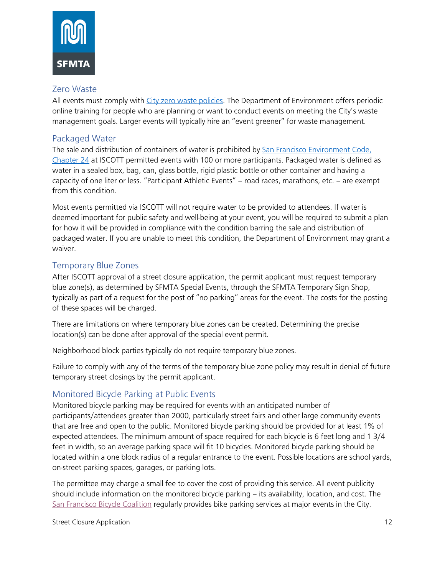

#### Zero Waste

All events must comply with City zero waste policies. The Department of Environment offers periodic online training for people who are planning or want to conduct events on meeting the City's waste management goals. Larger events will typically hire an "event greener" for waste management.

### Packaged Water

The sale and distribution of containers of water is prohibited by San Francisco Environment Code, Chapter 24 at ISCOTT permitted events with 100 or more participants. Packaged water is defined as water in a sealed box, bag, can, glass bottle, rigid plastic bottle or other container and having a capacity of one liter or less. "Participant Athletic Events" – road races, marathons, etc. – are exempt from this condition.

Most events permitted via ISCOTT will not require water to be provided to attendees. If water is deemed important for public safety and well-being at your event, you will be required to submit a plan for how it will be provided in compliance with the condition barring the sale and distribution of packaged water. If you are unable to meet this condition, the Department of Environment may grant a waiver.

## Temporary Blue Zones

After ISCOTT approval of a street closure application, the permit applicant must request temporary blue zone(s), as determined by SFMTA Special Events, through the SFMTA Temporary Sign Shop, typically as part of a request for the post of "no parking" areas for the event. The costs for the posting of these spaces will be charged.

There are limitations on where temporary blue zones can be created. Determining the precise location(s) can be done after approval of the special event permit.

Neighborhood block parties typically do not require temporary blue zones.

Failure to comply with any of the terms of the temporary blue zone policy may result in denial of future temporary street closings by the permit applicant.

# Monitored Bicycle Parking at Public Events

Monitored bicycle parking may be required for events with an anticipated number of participants/attendees greater than 2000, particularly street fairs and other large community events that are free and open to the public. Monitored bicycle parking should be provided for at least 1% of expected attendees. The minimum amount of space required for each bicycle is 6 feet long and 1 3/4 feet in width, so an average parking space will fit 10 bicycles. Monitored bicycle parking should be located within a one block radius of a regular entrance to the event. Possible locations are school yards, on-street parking spaces, garages, or parking lots.

The permittee may charge a small fee to cover the cost of providing this service. All event publicity should include information on the monitored bicycle parking – its availability, location, and cost. The San Francisco Bicycle Coalition regularly provides bike parking services at major events in the City.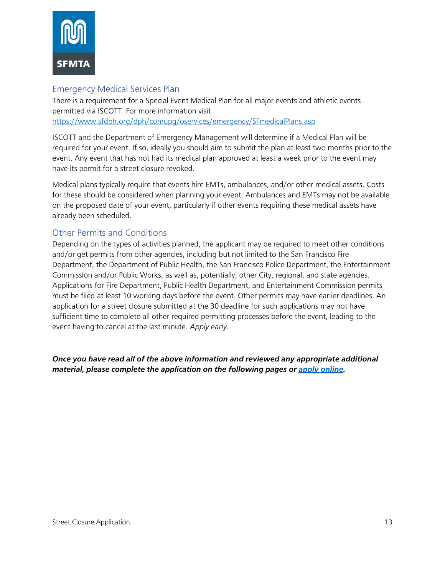

## Emergency Medical Services Plan

There is a requirement for a Special Event Medical Plan for all major events and athletic events permitted via ISCOTT. For more information visit https://www.sfdph.org/dph/comupg/oservices/emergency/SFmedicalPlans.asp

ISCOTT and the Department of Emergency Management will determine if a Medical Plan will be required for your event. If so, ideally you should aim to submit the plan at least two months prior to the event. Any event that has not had its medical plan approved at least a week prior to the event may have its permit for a street closure revoked.

Medical plans typically require that events hire EMTs, ambulances, and/or other medical assets. Costs for these should be considered when planning your event. Ambulances and EMTs may not be available on the proposed date of your event, particularly if other events requiring these medical assets have already been scheduled.

## Other Permits and Conditions

Depending on the types of activities planned, the applicant may be required to meet other conditions and/or get permits from other agencies, including but not limited to the San Francisco Fire Department, the Department of Public Health, the San Francisco Police Department, the Entertainment Commission and/or Public Works, as well as, potentially, other City, regional, and state agencies. Applications for Fire Department, Public Health Department, and Entertainment Commission permits must be filed at least 10 working days before the event. Other permits may have earlier deadlines. An application for a street closure submitted at the 30 deadline for such applications may not have sufficient time to complete all other required permitting processes before the event, leading to the event having to cancel at the last minute. *Apply early.*

*Once you have read all of the above information and reviewed any appropriate additional material, please complete the application on the following pages or apply online.*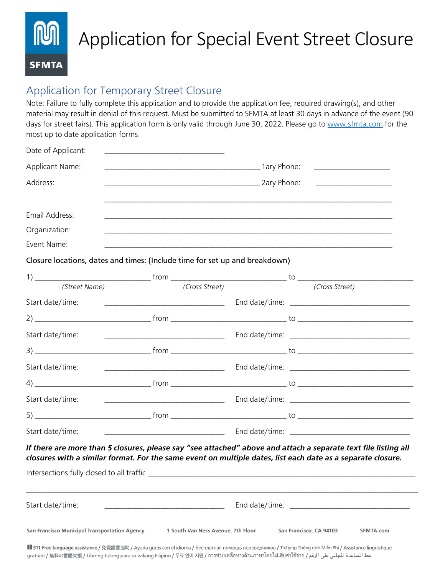# Application for Special Event Street Closure **SFMTA**

# Application for Temporary Street Closure

Note: Failure to fully complete this application and to provide the application fee, required drawing(s), and other material may result in denial of this request. Must be submitted to SFMTA at least 30 days in advance of the event (90 days for street fairs). This application form is only valid through June 30, 2022. Please go to www.sfmta.com for the most up to date application forms.

| Date of Applicant:                                                          |                                                                     |  |                                                                                                                                                                                                                               |
|-----------------------------------------------------------------------------|---------------------------------------------------------------------|--|-------------------------------------------------------------------------------------------------------------------------------------------------------------------------------------------------------------------------------|
| Applicant Name:                                                             |                                                                     |  | <u> 1980 - Amerikaan Staatsman van die Staatsman van die Staatsman van die Staatsman van die Staatsman van die S</u>                                                                                                          |
| Address:                                                                    |                                                                     |  |                                                                                                                                                                                                                               |
| Email Address:                                                              |                                                                     |  |                                                                                                                                                                                                                               |
| Organization:                                                               |                                                                     |  |                                                                                                                                                                                                                               |
| Event Name:                                                                 |                                                                     |  |                                                                                                                                                                                                                               |
| Closure locations, dates and times: (Include time for set up and breakdown) |                                                                     |  |                                                                                                                                                                                                                               |
|                                                                             |                                                                     |  |                                                                                                                                                                                                                               |
| (Street Name)                                                               | (Cross Street)                                                      |  | (Cross Street)                                                                                                                                                                                                                |
| Start date/time:                                                            | <u> 2008 - Jan Barnett, mars et al. (b. 1982)</u>                   |  |                                                                                                                                                                                                                               |
|                                                                             |                                                                     |  |                                                                                                                                                                                                                               |
| Start date/time:                                                            |                                                                     |  |                                                                                                                                                                                                                               |
|                                                                             |                                                                     |  |                                                                                                                                                                                                                               |
| Start date/time:                                                            |                                                                     |  |                                                                                                                                                                                                                               |
|                                                                             |                                                                     |  |                                                                                                                                                                                                                               |
| Start date/time:                                                            |                                                                     |  |                                                                                                                                                                                                                               |
|                                                                             |                                                                     |  |                                                                                                                                                                                                                               |
| Start date/time:                                                            | <u> 1980 - Jan Barbarat, manazarta da kasas da shekara 1980 - A</u> |  |                                                                                                                                                                                                                               |
|                                                                             |                                                                     |  | If there are more than 5 closures, please say "see attached" above and attach a separate text file listing all<br>closures with a similar format. For the same event on multiple dates, list each date as a separate closure. |
| Intersections fully closed to all traffic                                   |                                                                     |  |                                                                                                                                                                                                                               |
| Start date/time:                                                            |                                                                     |  |                                                                                                                                                                                                                               |
| <b>San Francisco Municipal Transportation Agency</b>                        | 1 South Van Ness Avenue, 7th Floor                                  |  | San Francisco, CA 94103<br>SFMTA.com                                                                                                                                                                                          |

■ 311 Free language assistance / 免費語言協助 / Ayuda gratis con el idioma / Бесплатная помощь переводчиков / Trợ giúp Thông dịch Miễn Phí / Assistance linguistique خط المساعدة اللجاني على الرقم / gratuite / 無料の言語支援 / Libreng tulong para sa wikang Filipino / 무료 언어 지원 / การช่วยเหลือทางด้านภาษาโดยไม่เสียค่าใช้จ่าย / عط المساعدة اللجاني على الرقم